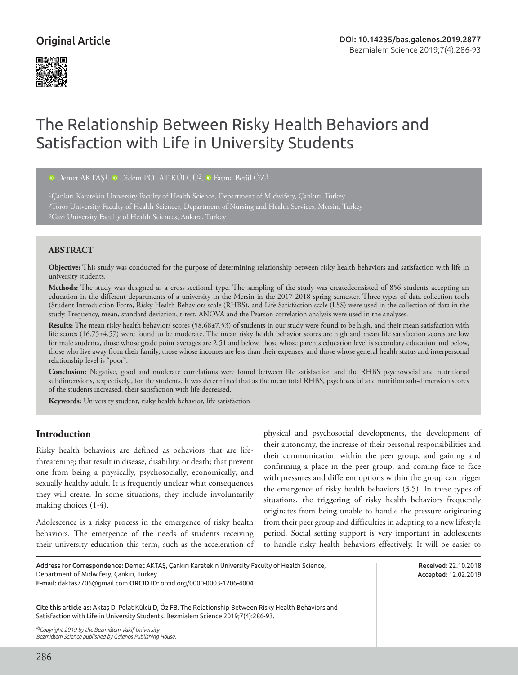## Original Article



# The Relationship Between Risky Health Behaviors and Satisfaction with Life in University Students

<sup>D</sup>Demet AKTAŞ<sup>1</sup>, <sup>D</sup> Didem POLAT KÜLCÜ<sup>2</sup>, <sup>D</sup> Fatma Betül ÖZ<sup>3</sup>

<sup>1</sup>Çankırı Karatekin University Faculty of Health Science, Department of Midwifery, Cankırı, Turkey 2Toros University Faculty of Health Sciences, Department of Nursing and Health Services, Mersin, Turkey

#### **ABSTRACT**

**Objective:** This study was conducted for the purpose of determining relationship between risky health behaviors and satisfaction with life in university students.

**Methods:** The study was designed as a cross-sectional type. The sampling of the study was createdconsisted of 856 students accepting an education in the different departments of a university in the Mersin in the 2017-2018 spring semester. Three types of data collection tools (Student Introduction Form, Risky Health Behaviors scale (RHBS), and Life Satisfaction scale (LSS) were used in the collection of data in the study. Frequency, mean, standard deviation, t-test, ANOVA and the Pearson correlation analysis were used in the analyses.

**Results:** The mean risky health behaviors scores (58.68±7.53) of students in our study were found to be high, and their mean satisfaction with life scores (16.75±4.57) were found to be moderate. The mean risky health behavior scores are high and mean life satisfaction scores are low for male students, those whose grade point averages are 2.51 and below, those whose parents education level is secondary education and below, those who live away from their family, those whose incomes are less than their expenses, and those whose general health status and interpersonal relationship level is "poor".

**Conclusion:** Negative, good and moderate correlations were found between life satisfaction and the RHBS psychosocial and nutritional subdimensions, respectively., for the students. It was determined that as the mean total RHBS, psychosocial and nutrition sub-dimension scores of the students increased, their satisfaction with life decreased.

**Keywords:** University student, risky health behavior, life satisfaction

## **Introduction**

Risky health behaviors are defined as behaviors that are lifethreatening; that result in disease, disability, or death; that prevent one from being a physically, psychosocially, economically, and sexually healthy adult. It is frequently unclear what consequences they will create. In some situations, they include involuntarily making choices (1-4).

Adolescence is a risky process in the emergence of risky health behaviors. The emergence of the needs of students receiving their university education this term, such as the acceleration of physical and psychosocial developments, the development of their autonomy, the increase of their personal responsibilities and their communication within the peer group, and gaining and confirming a place in the peer group, and coming face to face with pressures and different options within the group can trigger the emergence of risky health behaviors (3,5). In these types of situations, the triggering of risky health behaviors frequently originates from being unable to handle the pressure originating from their peer group and difficulties in adapting to a new lifestyle period. Social setting support is very important in adolescents to handle risky health behaviors effectively. It will be easier to

Address for Correspondence: Demet AKTAŞ, Çankırı Karatekin University Faculty of Health Science, Department of Midwifery, Çankırı, Turkey

E-mail: daktas7706@gmail.com ORCID ID: orcid.org/0000-0003-1206-4004

Cite this article as: Aktaş D, Polat Külcü D, Öz FB. The Relationship Between Risky Health Behaviors and Satisfaction with Life in University Students. Bezmialem Science 2019;7(4):286-93.

*©Copyright 2019 by the Bezmiâlem Vakif University Bezmiâlem Science published by Galenos Publishing House.* Received: 22.10.2018 Accepted: 12.02.2019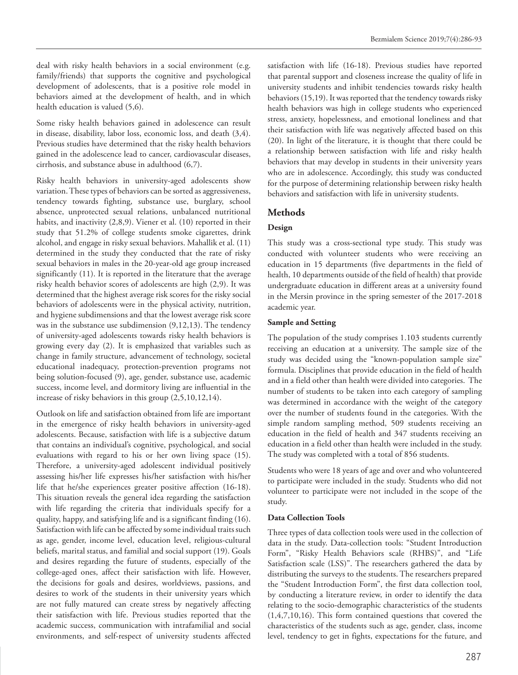deal with risky health behaviors in a social environment (e.g. family/friends) that supports the cognitive and psychological development of adolescents, that is a positive role model in behaviors aimed at the development of health, and in which health education is valued (5,6).

Some risky health behaviors gained in adolescence can result in disease, disability, labor loss, economic loss, and death (3,4). Previous studies have determined that the risky health behaviors gained in the adolescence lead to cancer, cardiovascular diseases, cirrhosis, and substance abuse in adulthood (6,7).

Risky health behaviors in university-aged adolescents show variation. These types of behaviors can be sorted as aggressiveness, tendency towards fighting, substance use, burglary, school absence, unprotected sexual relations, unbalanced nutritional habits, and inactivity (2,8,9). Viener et al. (10) reported in their study that 51.2% of college students smoke cigarettes, drink alcohol, and engage in risky sexual behaviors. Mahallik et al. (11) determined in the study they conducted that the rate of risky sexual behaviors in males in the 20-year-old age group increased significantly (11). It is reported in the literature that the average risky health behavior scores of adolescents are high (2,9). It was determined that the highest average risk scores for the risky social behaviors of adolescents were in the physical activity, nutrition, and hygiene subdimensions and that the lowest average risk score was in the substance use subdimension (9,12,13). The tendency of university-aged adolescents towards risky health behaviors is growing every day (2). It is emphasized that variables such as change in family structure, advancement of technology, societal educational inadequacy, protection-prevention programs not being solution-focused (9), age, gender, substance use, academic success, income level, and dormitory living are influential in the increase of risky behaviors in this group (2,5,10,12,14).

Outlook on life and satisfaction obtained from life are important in the emergence of risky health behaviors in university-aged adolescents. Because, satisfaction with life is a subjective datum that contains an individual's cognitive, psychological, and social evaluations with regard to his or her own living space (15). Therefore, a university-aged adolescent individual positively assessing his/her life expresses his/her satisfaction with his/her life that he/she experiences greater positive affection (16-18). This situation reveals the general idea regarding the satisfaction with life regarding the criteria that individuals specify for a quality, happy, and satisfying life and is a significant finding (16). Satisfaction with life can be affected by some individual traits such as age, gender, income level, education level, religious-cultural beliefs, marital status, and familial and social support (19). Goals and desires regarding the future of students, especially of the college-aged ones, affect their satisfaction with life. However, the decisions for goals and desires, worldviews, passions, and desires to work of the students in their university years which are not fully matured can create stress by negatively affecting their satisfaction with life. Previous studies reported that the academic success, communication with intrafamilial and social environments, and self-respect of university students affected

satisfaction with life (16-18). Previous studies have reported that parental support and closeness increase the quality of life in university students and inhibit tendencies towards risky health behaviors (15,19). It was reported that the tendency towards risky health behaviors was high in college students who experienced stress, anxiety, hopelessness, and emotional loneliness and that their satisfaction with life was negatively affected based on this (20). In light of the literature, it is thought that there could be a relationship between satisfaction with life and risky health behaviors that may develop in students in their university years who are in adolescence. Accordingly, this study was conducted for the purpose of determining relationship between risky health behaviors and satisfaction with life in university students.

## **Methods**

### **Design**

This study was a cross-sectional type study. This study was conducted with volunteer students who were receiving an education in 15 departments (five departments in the field of health, 10 departments outside of the field of health) that provide undergraduate education in different areas at a university found in the Mersin province in the spring semester of the 2017-2018 academic year.

#### **Sample and Setting**

The population of the study comprises 1.103 students currently receiving an education at a university. The sample size of the study was decided using the "known-population sample size" formula. Disciplines that provide education in the field of health and in a field other than health were divided into categories. The number of students to be taken into each category of sampling was determined in accordance with the weight of the category over the number of students found in the categories. With the simple random sampling method, 509 students receiving an education in the field of health and 347 students receiving an education in a field other than health were included in the study. The study was completed with a total of 856 students.

Students who were 18 years of age and over and who volunteered to participate were included in the study. Students who did not volunteer to participate were not included in the scope of the study.

#### **Data Collection Tools**

Three types of data collection tools were used in the collection of data in the study. Data-collection tools: "Student Introduction Form", "Risky Health Behaviors scale (RHBS)", and "Life Satisfaction scale (LSS)". The researchers gathered the data by distributing the surveys to the students. The researchers prepared the "Student Introduction Form", the first data collection tool, by conducting a literature review, in order to identify the data relating to the socio-demographic characteristics of the students (1,4,7,10,16). This form contained questions that covered the characteristics of the students such as age, gender, class, income level, tendency to get in fights, expectations for the future, and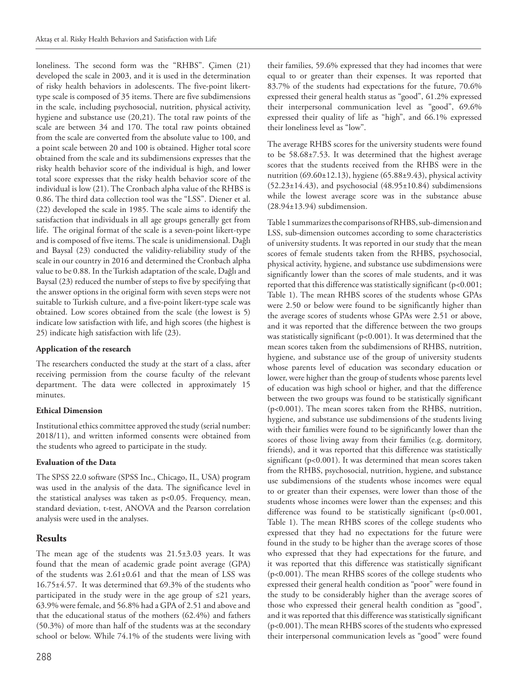loneliness. The second form was the "RHBS". Çimen (21) developed the scale in 2003, and it is used in the determination of risky health behaviors in adolescents. The five-point likerttype scale is composed of 35 items. There are five subdimensions in the scale, including psychosocial, nutrition, physical activity, hygiene and substance use (20,21). The total raw points of the scale are between 34 and 170. The total raw points obtained from the scale are converted from the absolute value to 100, and a point scale between 20 and 100 is obtained. Higher total score obtained from the scale and its subdimensions expresses that the risky health behavior score of the individual is high, and lower total score expresses that the risky health behavior score of the individual is low (21). The Cronbach alpha value of the RHBS is 0.86. The third data collection tool was the "LSS". Diener et al. (22) developed the scale in 1985. The scale aims to identify the satisfaction that individuals in all age groups generally get from life. The original format of the scale is a seven-point likert-type and is composed of five items. The scale is unidimensional. Dağlı and Baysal (23) conducted the validity-reliability study of the scale in our country in 2016 and determined the Cronbach alpha value to be 0.88. In the Turkish adaptation of the scale, Dağlı and Baysal (23) reduced the number of steps to five by specifying that the answer options in the original form with seven steps were not suitable to Turkish culture, and a five-point likert-type scale was obtained. Low scores obtained from the scale (the lowest is 5) indicate low satisfaction with life, and high scores (the highest is 25) indicate high satisfaction with life (23).

#### **Application of the research**

The researchers conducted the study at the start of a class, after receiving permission from the course faculty of the relevant department. The data were collected in approximately 15 minutes.

#### **Ethical Dimension**

Institutional ethics committee approved the study (serial number: 2018/11), and written informed consents were obtained from the students who agreed to participate in the study.

#### **Evaluation of the Data**

The SPSS 22.0 software (SPSS Inc., Chicago, IL, USA) program was used in the analysis of the data. The significance level in the statistical analyses was taken as p<0.05. Frequency, mean, standard deviation, t-test, ANOVA and the Pearson correlation analysis were used in the analyses.

## **Results**

The mean age of the students was 21.5±3.03 years. It was found that the mean of academic grade point average (GPA) of the students was 2.61±0.61 and that the mean of LSS was 16.75±4.57. It was determined that 69.3% of the students who participated in the study were in the age group of ≤21 years, 63.9% were female, and 56.8% had a GPA of 2.51 and above and that the educational status of the mothers (62.4%) and fathers (50.3%) of more than half of the students was at the secondary school or below. While 74.1% of the students were living with

The average RHBS scores for the university students were found to be 58.68±7.53. It was determined that the highest average scores that the students received from the RHBS were in the nutrition  $(69.60 \pm 12.13)$ , hygiene  $(65.88 \pm 9.43)$ , physical activity  $(52.23\pm14.43)$ , and psychosocial  $(48.95\pm10.84)$  subdimensions while the lowest average score was in the substance abuse (28.94±13.94) subdimension.

Table 1 summarizes the comparisons of RHBS, sub-dimension and LSS, sub-dimension outcomes according to some characteristics of university students. It was reported in our study that the mean scores of female students taken from the RHBS, psychosocial, physical activity, hygiene, and substance use subdimensions were significantly lower than the scores of male students, and it was reported that this difference was statistically significant (p<0.001; Table 1). The mean RHBS scores of the students whose GPAs were 2.50 or below were found to be significantly higher than the average scores of students whose GPAs were 2.51 or above, and it was reported that the difference between the two groups was statistically significant (p<0.001). It was determined that the mean scores taken from the subdimensions of RHBS, nutrition, hygiene, and substance use of the group of university students whose parents level of education was secondary education or lower, were higher than the group of students whose parents level of education was high school or higher, and that the difference between the two groups was found to be statistically significant (p<0.001). The mean scores taken from the RHBS, nutrition, hygiene, and substance use subdimensions of the students living with their families were found to be significantly lower than the scores of those living away from their families (e.g. dormitory, friends), and it was reported that this difference was statistically significant (p<0.001). It was determined that mean scores taken from the RHBS, psychosocial, nutrition, hygiene, and substance use subdimensions of the students whose incomes were equal to or greater than their expenses, were lower than those of the students whose incomes were lower than the expenses; and this difference was found to be statistically significant (p<0.001, Table 1). The mean RHBS scores of the college students who expressed that they had no expectations for the future were found in the study to be higher than the average scores of those who expressed that they had expectations for the future, and it was reported that this difference was statistically significant (p<0.001). The mean RHBS scores of the college students who expressed their general health condition as "poor" were found in the study to be considerably higher than the average scores of those who expressed their general health condition as "good", and it was reported that this difference was statistically significant (p<0.001). The mean RHBS scores of the students who expressed their interpersonal communication levels as "good" were found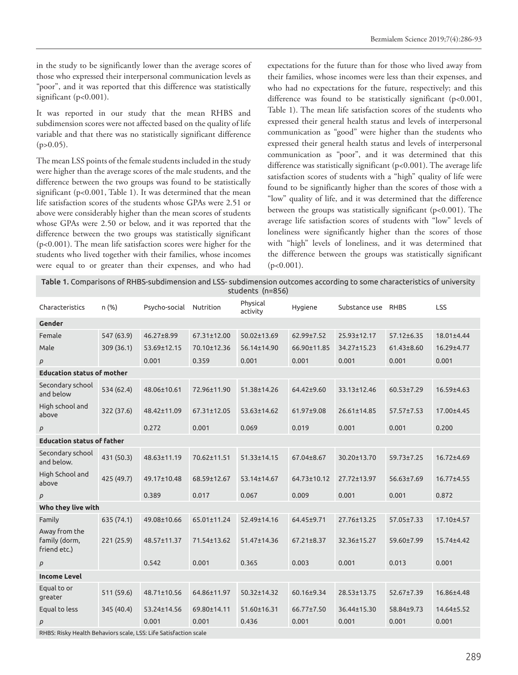in the study to be significantly lower than the average scores of those who expressed their interpersonal communication levels as "poor", and it was reported that this difference was statistically significant (p<0.001).

It was reported in our study that the mean RHBS and subdimension scores were not affected based on the quality of life variable and that there was no statistically significant difference  $(p>0.05)$ .

The mean LSS points of the female students included in the study were higher than the average scores of the male students, and the difference between the two groups was found to be statistically significant (p<0.001, Table 1). It was determined that the mean life satisfaction scores of the students whose GPAs were 2.51 or above were considerably higher than the mean scores of students whose GPAs were 2.50 or below, and it was reported that the difference between the two groups was statistically significant (p<0.001). The mean life satisfaction scores were higher for the students who lived together with their families, whose incomes were equal to or greater than their expenses, and who had

expectations for the future than for those who lived away from their families, whose incomes were less than their expenses, and who had no expectations for the future, respectively; and this difference was found to be statistically significant (p<0.001, Table 1). The mean life satisfaction scores of the students who expressed their general health status and levels of interpersonal communication as "good" were higher than the students who expressed their general health status and levels of interpersonal communication as "poor", and it was determined that this difference was statistically significant (p<0.001). The average life satisfaction scores of students with a "high" quality of life were found to be significantly higher than the scores of those with a "low" quality of life, and it was determined that the difference between the groups was statistically significant (p<0.001). The average life satisfaction scores of students with "low" levels of loneliness were significantly higher than the scores of those with "high" levels of loneliness, and it was determined that the difference between the groups was statistically significant  $(p<0.001)$ .

Table 1. Comparisons of RHBS-subdimension and LSS- subdimension outcomes according to some characteristics of university students (n=856)

| Characteristics                                                  | n (%)      | Psycho-social Nutrition |             | Physical<br>activity | Hygiene          | Substance use     | RHBS             | <b>LSS</b>       |  |
|------------------------------------------------------------------|------------|-------------------------|-------------|----------------------|------------------|-------------------|------------------|------------------|--|
| Gender                                                           |            |                         |             |                      |                  |                   |                  |                  |  |
| Female                                                           | 547 (63.9) | $46.27 \pm 8.99$        | 67.31±12.00 | 50.02±13.69          | 62.99±7.52       | 25.93±12.17       | $57.12 \pm 6.35$ | 18.01±4.44       |  |
| Male                                                             | 309 (36.1) | 53.69±12.15             | 70.10±12.36 | 56.14±14.90          | 66.90±11.85      | 34.27±15.23       | $61.43 \pm 8.60$ | 16.29±4.77       |  |
| p                                                                |            | 0.001                   | 0.359       | 0.001                | 0.001            | 0.001             | 0.001            | 0.001            |  |
| <b>Education status of mother</b>                                |            |                         |             |                      |                  |                   |                  |                  |  |
| Secondary school<br>and below                                    | 534 (62.4) | 48.06±10.61             | 72.96±11.90 | 51.38±14.26          | 64.42±9.60       | 33.13±12.46       | $60.53 \pm 7.29$ | 16.59±4.63       |  |
| High school and<br>above                                         | 322 (37.6) | 48.42±11.09             | 67.31±12.05 | 53.63±14.62          | 61.97±9.08       | $26.61 \pm 14.85$ | $57.57 \pm 7.53$ | 17.00±4.45       |  |
| p                                                                |            | 0.272                   | 0.001       | 0.069                | 0.019            | 0.001             | 0.001            | 0.200            |  |
| <b>Education status of father</b>                                |            |                         |             |                      |                  |                   |                  |                  |  |
| Secondary school<br>and below.                                   | 431 (50.3) | 48.63±11.19             | 70.62±11.51 | 51.33±14.15          | 67.04±8.67       | 30.20±13.70       | 59.73±7.25       | 16.72±4.69       |  |
| High School and<br>above                                         | 425 (49.7) | 49.17±10.48             | 68.59±12.67 | 53.14±14.67          | 64.73±10.12      | 27.72±13.97       | 56.63±7.69       | $16.77 \pm 4.55$ |  |
| P                                                                |            | 0.389                   | 0.017       | 0.067                | 0.009            | 0.001             | 0.001            | 0.872            |  |
| Who they live with                                               |            |                         |             |                      |                  |                   |                  |                  |  |
| Family                                                           | 635 (74.1) | 49.08±10.66             | 65.01±11.24 | 52.49±14.16          | 64.45±9.71       | 27.76±13.25       | 57.05±7.33       | 17.10±4.57       |  |
| Away from the<br>family (dorm,<br>friend etc.)                   | 221(25.9)  | 48.57±11.37             | 71.54±13.62 | 51.47±14.36          | $67.21 \pm 8.37$ | 32.36±15.27       | 59.60±7.99       | 15.74±4.42       |  |
| p                                                                |            | 0.542                   | 0.001       | 0.365                | 0.003            | 0.001             | 0.013            | 0.001            |  |
| <b>Income Level</b>                                              |            |                         |             |                      |                  |                   |                  |                  |  |
| Equal to or<br>greater                                           | 511 (59.6) | 48.71±10.56             | 64.86±11.97 | $50.32 \pm 14.32$    | 60.16±9.34       | 28.53±13.75       | 52.67±7.39       | 16.86±4.48       |  |
| Equal to less                                                    | 345 (40.4) | 53.24±14.56             | 69.80±14.11 | 51.60±16.31          | 66.77±7.50       | 36.44±15.30       | 58.84±9.73       | 14.64±5.52       |  |
| $\overline{p}$                                                   |            | 0.001                   | 0.001       | 0.436                | 0.001            | 0.001             | 0.001            | 0.001            |  |
| RHBS: Risky Health Behaviors scale, LSS: Life Satisfaction scale |            |                         |             |                      |                  |                   |                  |                  |  |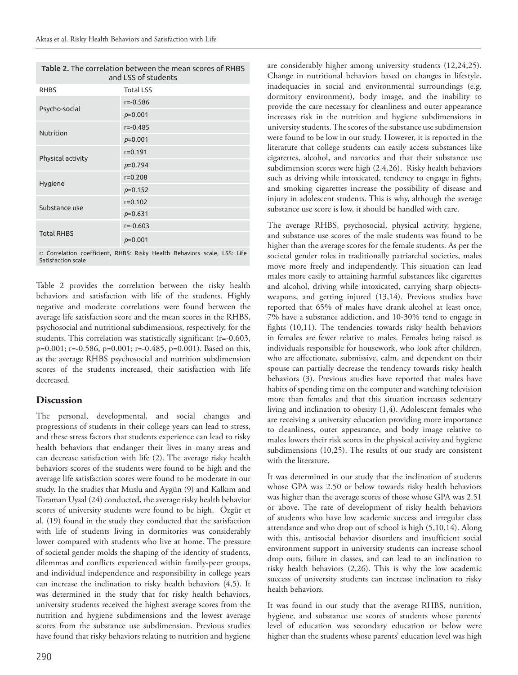| <b>Table 2.</b> The correlation between the mean scores of RHBS<br>and LSS of students |                  |  |  |  |  |  |
|----------------------------------------------------------------------------------------|------------------|--|--|--|--|--|
| <b>RHBS</b>                                                                            | <b>Total LSS</b> |  |  |  |  |  |
|                                                                                        | $r = -0.586$     |  |  |  |  |  |
| Psycho-social                                                                          | $p=0.001$        |  |  |  |  |  |
| Nutrition                                                                              | $r = -0.485$     |  |  |  |  |  |
|                                                                                        | $p=0.001$        |  |  |  |  |  |
| Physical activity                                                                      | $r = 0.191$      |  |  |  |  |  |
|                                                                                        | $p=0.794$        |  |  |  |  |  |
| Hygiene                                                                                | $r = 0.208$      |  |  |  |  |  |
|                                                                                        | $p=0.152$        |  |  |  |  |  |
| Substance use                                                                          | $r = 0.102$      |  |  |  |  |  |
|                                                                                        | $p=0.631$        |  |  |  |  |  |
|                                                                                        | $r = -0.603$     |  |  |  |  |  |
| <b>Total RHBS</b>                                                                      | $p=0.001$        |  |  |  |  |  |
|                                                                                        |                  |  |  |  |  |  |

r: Correlation coefficient, RHBS: Risky Health Behaviors scale, LSS: Life Satisfaction scale

Table 2 provides the correlation between the risky health behaviors and satisfaction with life of the students. Highly negative and moderate correlations were found between the average life satisfaction score and the mean scores in the RHBS, psychosocial and nutritional subdimensions, respectively, for the students. This correlation was statistically significant (r=-0.603, p=0.001; r=-0.586, p=0.001; r=-0.485, p=0.001). Based on this, as the average RHBS psychosocial and nutrition subdimension scores of the students increased, their satisfaction with life decreased.

#### **Discussion**

The personal, developmental, and social changes and progressions of students in their college years can lead to stress, and these stress factors that students experience can lead to risky health behaviors that endanger their lives in many areas and can decrease satisfaction with life (2). The average risky health behaviors scores of the students were found to be high and the average life satisfaction scores were found to be moderate in our study. In the studies that Muslu and Aygün (9) and Kalkım and Toraman Uysal (24) conducted, the average risky health behavior scores of university students were found to be high. Özgür et al. (19) found in the study they conducted that the satisfaction with life of students living in dormitories was considerably lower compared with students who live at home. The pressure of societal gender molds the shaping of the identity of students, dilemmas and conflicts experienced within family-peer groups, and individual independence and responsibility in college years can increase the inclination to risky health behaviors (4,5). It was determined in the study that for risky health behaviors, university students received the highest average scores from the nutrition and hygiene subdimensions and the lowest average scores from the substance use subdimension. Previous studies have found that risky behaviors relating to nutrition and hygiene

are considerably higher among university students (12,24,25). Change in nutritional behaviors based on changes in lifestyle, inadequacies in social and environmental surroundings (e.g. dormitory environment), body image, and the inability to provide the care necessary for cleanliness and outer appearance increases risk in the nutrition and hygiene subdimensions in university students. The scores of the substance use subdimension were found to be low in our study. However, it is reported in the literature that college students can easily access substances like cigarettes, alcohol, and narcotics and that their substance use subdimension scores were high (2,4,26). Risky health behaviors such as driving while intoxicated, tendency to engage in fights, and smoking cigarettes increase the possibility of disease and injury in adolescent students. This is why, although the average substance use score is low, it should be handled with care.

The average RHBS, psychosocial, physical activity, hygiene, and substance use scores of the male students was found to be higher than the average scores for the female students. As per the societal gender roles in traditionally patriarchal societies, males move more freely and independently. This situation can lead males more easily to attaining harmful substances like cigarettes and alcohol, driving while intoxicated, carrying sharp objectsweapons, and getting injured (13,14). Previous studies have reported that 65% of males have drank alcohol at least once, 7% have a substance addiction, and 10-30% tend to engage in fights (10,11). The tendencies towards risky health behaviors in females are fewer relative to males. Females being raised as individuals responsible for housework, who look after children, who are affectionate, submissive, calm, and dependent on their spouse can partially decrease the tendency towards risky health behaviors (3). Previous studies have reported that males have habits of spending time on the computer and watching television more than females and that this situation increases sedentary living and inclination to obesity (1,4). Adolescent females who are receiving a university education providing more importance to cleanliness, outer appearance, and body image relative to males lowers their risk scores in the physical activity and hygiene subdimensions (10,25). The results of our study are consistent with the literature.

It was determined in our study that the inclination of students whose GPA was 2.50 or below towards risky health behaviors was higher than the average scores of those whose GPA was 2.51 or above. The rate of development of risky health behaviors of students who have low academic success and irregular class attendance and who drop out of school is high (5,10,14). Along with this, antisocial behavior disorders and insufficient social environment support in university students can increase school drop outs, failure in classes, and can lead to an inclination to risky health behaviors (2,26). This is why the low academic success of university students can increase inclination to risky health behaviors.

It was found in our study that the average RHBS, nutrition, hygiene, and substance use scores of students whose parents' level of education was secondary education or below were higher than the students whose parents' education level was high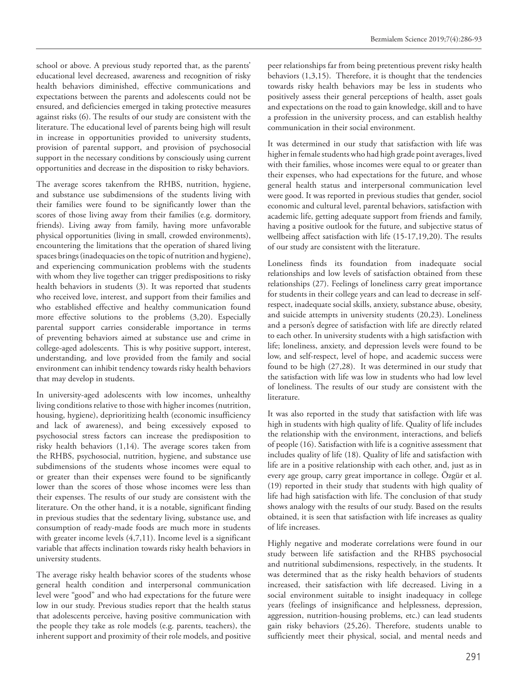school or above. A previous study reported that, as the parents' educational level decreased, awareness and recognition of risky health behaviors diminished, effective communications and expectations between the parents and adolescents could not be ensured, and deficiencies emerged in taking protective measures against risks (6). The results of our study are consistent with the literature. The educational level of parents being high will result in increase in opportunities provided to university students, provision of parental support, and provision of psychosocial support in the necessary conditions by consciously using current opportunities and decrease in the disposition to risky behaviors.

The average scores takenfrom the RHBS, nutrition, hygiene, and substance use subdimensions of the students living with their families were found to be significantly lower than the scores of those living away from their families (e.g. dormitory, friends). Living away from family, having more unfavorable physical opportunities (living in small, crowded environments), encountering the limitations that the operation of shared living spaces brings (inadequacies on the topic of nutrition and hygiene), and experiencing communication problems with the students with whom they live together can trigger predispositions to risky health behaviors in students (3). It was reported that students who received love, interest, and support from their families and who established effective and healthy communication found more effective solutions to the problems (3,20). Especially parental support carries considerable importance in terms of preventing behaviors aimed at substance use and crime in college-aged adolescents. This is why positive support, interest, understanding, and love provided from the family and social environment can inhibit tendency towards risky health behaviors that may develop in students.

In university-aged adolescents with low incomes, unhealthy living conditions relative to those with higher incomes (nutrition, housing, hygiene), deprioritizing health (economic insufficiency and lack of awareness), and being excessively exposed to psychosocial stress factors can increase the predisposition to risky health behaviors (1,14). The average scores taken from the RHBS, psychosocial, nutrition, hygiene, and substance use subdimensions of the students whose incomes were equal to or greater than their expenses were found to be significantly lower than the scores of those whose incomes were less than their expenses. The results of our study are consistent with the literature. On the other hand, it is a notable, significant finding in previous studies that the sedentary living, substance use, and consumption of ready-made foods are much more in students with greater income levels (4,7,11). Income level is a significant variable that affects inclination towards risky health behaviors in university students.

The average risky health behavior scores of the students whose general health condition and interpersonal communication level were "good" and who had expectations for the future were low in our study. Previous studies report that the health status that adolescents perceive, having positive communication with the people they take as role models (e.g. parents, teachers), the inherent support and proximity of their role models, and positive

peer relationships far from being pretentious prevent risky health behaviors (1,3,15). Therefore, it is thought that the tendencies towards risky health behaviors may be less in students who positively assess their general perceptions of health, asset goals and expectations on the road to gain knowledge, skill and to have a profession in the university process, and can establish healthy communication in their social environment.

It was determined in our study that satisfaction with life was higher in female students who had high grade point averages, lived with their families, whose incomes were equal to or greater than their expenses, who had expectations for the future, and whose general health status and interpersonal communication level were good. It was reported in previous studies that gender, sociol economic and cultural level, parental behaviors, satisfaction with academic life, getting adequate support from friends and family, having a positive outlook for the future, and subjective status of wellbeing affect satisfaction with life (15-17,19,20). The results of our study are consistent with the literature.

Loneliness finds its foundation from inadequate social relationships and low levels of satisfaction obtained from these relationships (27). Feelings of loneliness carry great importance for students in their college years and can lead to decrease in selfrespect, inadequate social skills, anxiety, substance abuse, obesity, and suicide attempts in university students (20,23). Loneliness and a person's degree of satisfaction with life are directly related to each other. In university students with a high satisfaction with life; loneliness, anxiety, and depression levels were found to be low, and self-respect, level of hope, and academic success were found to be high (27,28). It was determined in our study that the satisfaction with life was low in students who had low level of loneliness. The results of our study are consistent with the literature.

It was also reported in the study that satisfaction with life was high in students with high quality of life. Quality of life includes the relationship with the environment, interactions, and beliefs of people (16). Satisfaction with life is a cognitive assessment that includes quality of life (18). Quality of life and satisfaction with life are in a positive relationship with each other, and, just as in every age group, carry great importance in college. Özgür et al. (19) reported in their study that students with high quality of life had high satisfaction with life. The conclusion of that study shows analogy with the results of our study. Based on the results obtained, it is seen that satisfaction with life increases as quality of life increases.

Highly negative and moderate correlations were found in our study between life satisfaction and the RHBS psychosocial and nutritional subdimensions, respectively, in the students. It was determined that as the risky health behaviors of students increased, their satisfaction with life decreased. Living in a social environment suitable to insight inadequacy in college years (feelings of insignificance and helplessness, depression, aggression, nutrition-housing problems, etc.) can lead students gain risky behaviors (25,26). Therefore, students unable to sufficiently meet their physical, social, and mental needs and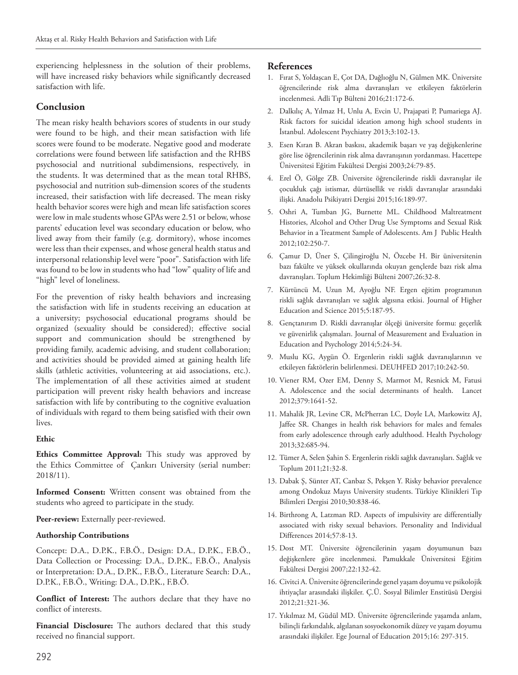experiencing helplessness in the solution of their problems, will have increased risky behaviors while significantly decreased satisfaction with life.

## **Conclusion**

The mean risky health behaviors scores of students in our study were found to be high, and their mean satisfaction with life scores were found to be moderate. Negative good and moderate correlations were found between life satisfaction and the RHBS psychosocial and nutritional subdimensions, respectively, in the students. It was determined that as the mean total RHBS, psychosocial and nutrition sub-dimension scores of the students increased, their satisfaction with life decreased. The mean risky health behavior scores were high and mean life satisfaction scores were low in male students whose GPAs were 2.51 or below, whose parents' education level was secondary education or below, who lived away from their family (e.g. dormitory), whose incomes were less than their expenses, and whose general health status and interpersonal relationship level were "poor". Satisfaction with life was found to be low in students who had "low" quality of life and "high" level of loneliness.

For the prevention of risky health behaviors and increasing the satisfaction with life in students receiving an education at a university; psychosocial educational programs should be organized (sexuality should be considered); effective social support and communication should be strengthened by providing family, academic advising, and student collaboration; and activities should be provided aimed at gaining health life skills (athletic activities, volunteering at aid associations, etc.). The implementation of all these activities aimed at student participation will prevent risky health behaviors and increase satisfaction with life by contributing to the cognitive evaluation of individuals with regard to them being satisfied with their own lives.

#### **Ethic**

**Ethics Committee Approval:** This study was approved by the Ethics Committee of Çankırı University (serial number: 2018/11).

**Informed Consent:** Written consent was obtained from the students who agreed to participate in the study.

**Peer-review:** Externally peer-reviewed.

#### **Authorship Contributions**

Concept: D.A., D.P.K., F.B.Ö., Design: D.A., D.P.K., F.B.Ö., Data Collection or Processing: D.A., D.P.K., F.B.Ö., Analysis or Interpretation: D.A., D.P.K., F.B.Ö., Literature Search: D.A., D.P.K., F.B.Ö., Writing: D.A., D.P.K., F.B.Ö.

**Conflict of Interest:** The authors declare that they have no conflict of interests.

**Financial Disclosure:** The authors declared that this study received no financial support.

#### **References**

- 1. Fırat S, Yoldaşcan E, Çot DA, Dağlıoğlu N, Gülmen MK. Üniversite öğrencilerinde risk alma davranışları ve etkileyen faktörlerin incelenmesi. Adli Tıp Bülteni 2016;21:172-6.
- 2. Dalkılıç A, Yılmaz H, Unlu A, Evcin U, Prajapati P, Pumariega AJ. Risk factors for suicidal ideation among high school students in İstanbul. Adolescent Psychiatry 2013;3:102-13.
- 3. Esen Kıran B. Akran baskısı, akademik başarı ve yaş değişkenlerine göre lise öğrencilerinin risk alma davranışının yordanması. Hacettepe Üniversitesi Eğitim Fakültesi Dergisi 2003;24:79-85.
- 4. Erel Ö, Gölge ZB. Üniversite öğrencilerinde riskli davranışlar ile çocukluk çağı istismar, dürtüsellik ve riskli davranışlar arasındaki ilişki. Anadolu Psikiyatri Dergisi 2015;16:189-97.
- 5. Oshri A, Tumban JG, Burnette ML. Childhood Maltreatment Histories, Alcohol and Other Drug Use Symptoms and Sexual Risk Behavior in a Treatment Sample of Adolescents. Am J Public Health 2012;102:250-7.
- 6. Çamur D, Üner S, Çilingiroğlu N, Özcebe H. Bir üniversitenin bazı fakülte ve yüksek okullarında okuyan gençlerde bazı risk alma davranışları. Toplum Hekimliği Bülteni 2007;26:32-8.
- 7. Kürtüncü M, Uzun M, Ayoğlu NF. Ergen eğitim programının riskli sağlık davranışları ve sağlık algısına etkisi. Journal of Higher Education and Science 2015;5:187-95.
- 8. Gençtanırım D. Riskli davranışlar ölçeği üniversite formu: geçerlik ve güvenirlik çalışmaları. Journal of Measurement and Evaluation in Education and Psychology 2014;5:24-34.
- 9. Muslu KG, Aygün Ö. Ergenlerin riskli sağlık davranışlarının ve etkileyen faktörlerin belirlenmesi. DEUHFED 2017;10:242-50.
- 10. Viener RM, Ozer EM, Denny S, Marmot M, Resnick M, Fatusi A. Adolescence and the social determinants of health. Lancet 2012;379:1641-52.
- 11. Mahalik JR, Levine CR, McPherran LC, Doyle LA, Markowitz AJ, Jaffee SR. Changes in health risk behaviors for males and females from early adolescence through early adulthood. Health Psychology 2013;32:685-94.
- 12. Tümer A, Selen Şahin S. Ergenlerin riskli sağlık davranışları. Sağlık ve Toplum 2011;21:32-8.
- 13. Dabak Ş, Sünter AT, Canbaz S, Pekşen Y. Risky behavior prevalence among Ondokuz Mayıs University students. Türkiye Klinikleri Tıp Bilimleri Dergisi 2010;30:838-46.
- 14. Birthrong A, Latzman RD. Aspects of impulsivity are differentially associated with risky sexual behaviors. Personality and Individual Differences 2014;57:8-13.
- 15. Dost MT. Üniversite öğrencilerinin yaşam doyumunun bazı değişkenlere göre incelenmesi. Pamukkale Üniversitesi Eğitim Fakültesi Dergisi 2007;22:132-42.
- 16. Civitci A. Üniversite öğrencilerinde genel yaşam doyumu ve psikolojik ihtiyaçlar arasındaki ilişkiler. Ç.Ü. Sosyal Bilimler Enstitüsü Dergisi 2012;21:321-36.
- 17. Yıkılmaz M, Güdül MD. Üniversite öğrencilerinde yaşamda anlam, bilinçli farkındalık, algılanan sosyoekonomik düzey ve yaşam doyumu arasındaki ilişkiler. Ege Journal of Education 2015;16: 297-315.